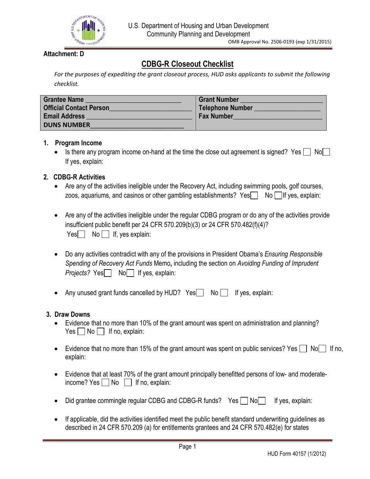

# **Attachment: D**

# **CDBG-R Closeout Checklist**

*For the purposes of expediting the grant closeout process, HUD asks applicants to submit the following checklist.* 

| <b>Grantee Name</b><br><b>Official Contact Person</b> | <b>Grant Number</b><br>Telephone Number |
|-------------------------------------------------------|-----------------------------------------|
| <b>Email Address</b>                                  | <b>Fax Number</b>                       |
| <b>DUNS NUMBER</b>                                    |                                         |

## **1. Program Income**

Is there any program income on-hand at the time the close out agreement is signed? Yes  $\Box$  No $\Box$ If yes, explain :

## **2. CDBG-R Activities**

- Are any of the activities ineligible under the Recovery Act, including swimming pools, golf courses, zoos, aquariums, and casinos or other gambling establishments?  $Yes \cap No \cap$  If yes, explain:
- Are any of the activities ineligible under the regular CDBG program or do any of the activities provide insufficient public benefit per 24 CFR 570.209(b)(3) or 24 CFR 570.482(f)(4)?  $Yes \frown No \frown If, yes explain:$
- Do any activities contradict with any of the provisions in President Obama's *Ensuring Responsible Spending of Recovery Act Funds* Memo**,** including the section on *Avoiding Funding of Imprudent Projects?* Yes No If yes, explain:
- Any unused grant funds cancelled by HUD?  $Yes \nightharpoonup No \nightharpoonup If yes, explain:$

## **3. Draw Downs**

- Evidence that no more than 10% of the grant amount was spent on administration and planning?  $Yes \frown No \frown$  If no, explain:
- Evidence that no more than 15% of the grant amount was spent on public services? Yes  $\Box$  No If no, explain:
- Evidence that at least 70% of the grant amount principally benefitted persons of low- and moderateincome? Yes  $\Box$  No  $\Box$  If no, explain:
- Did grantee commingle regular CDBG and CDBG-R funds? Yes  $\Box$  No  $\Box$ If yes, explain:
- If applicable, did the activities identified meet the public benefit standard underwriting guidelines as described in 24 CFR 570.209 (a) for entitlements grantees and 24 CFR 570.482(e) for states